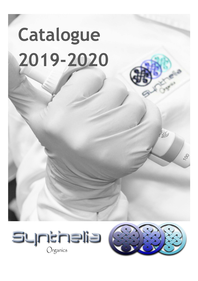## **Catalogue 2019-2020**





 $\geq 1$ 

 $\delta$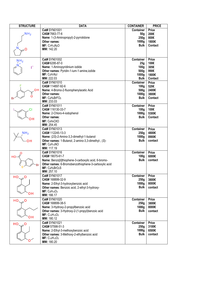| <b>STRUCTURE</b> | <b>DATA</b>                                          | <b>CONTAINER</b> | <b>PRICE</b> |
|------------------|------------------------------------------------------|------------------|--------------|
|                  | Cat# SYN01001                                        | <b>Container</b> | <b>Price</b> |
| NH <sub>2</sub>  | CAS#7663-77-6                                        | 50 <sub>g</sub>  | 200€         |
|                  | Name: 1-(3-Aminopropyl)-2-pyrrolidone                | 250g             | 800€         |
|                  | Other names:                                         | 1000g            | 1800€        |
|                  | $MF: C7H14N2O$                                       | <b>Bulk</b>      | Contact      |
|                  | MW: 142.20                                           |                  |              |
|                  |                                                      |                  |              |
|                  |                                                      |                  |              |
| NH <sub>2</sub>  | Cat# SYN01002                                        | <b>Container</b> | <b>Price</b> |
|                  | CAS# 6295-87-0                                       | 25g              | 100€         |
|                  | Name: 1-Aminopyridinium iodide                       | 100 <sub>g</sub> | 305€         |
|                  | Other names: Pyridin-1-ium-1-amine, iodide           | 500 <sub>g</sub> | 990€         |
|                  | $MF: C_5H_7N_2I$                                     | 1000g            | 1800€        |
|                  | MW: 222.03                                           | <b>Bulk</b>      | Contact      |
|                  | Cat# SYN01010                                        | <b>Container</b> | <b>Price</b> |
|                  | CAS# 114897-92-6                                     | 100 <sub>g</sub> | 520€         |
| OН               | Name: 4-Bromo-2-fluorophenylacetic Acid              | 500g             | 2400€        |
|                  | Other names:                                         | 1000g            | 3800€        |
|                  | MF: C <sub>8</sub> H <sub>6</sub> BrFO <sub>2</sub>  | <b>Bulk</b>      | Contact      |
|                  | MW: 233.03                                           |                  |              |
|                  | Cat# SYN01011                                        | <b>Container</b> | <b>Price</b> |
|                  | CAS# 116130-33-7                                     | 100 <sub>g</sub> | 100€         |
|                  |                                                      |                  |              |
|                  | Name: 2-Chloro-4-iodophenol                          | 1000g            | 5300€        |
|                  | Other names:                                         | <b>Bulk</b>      | Contact      |
|                  | $MF: C_6H_4ClIO$                                     |                  |              |
|                  | MW: 254.45                                           |                  |              |
|                  | Cat# SYN01013                                        | <b>Container</b> | <b>Price</b> |
| NH <sub>2</sub>  | CAS# 112245-13-3                                     | 250g             | 4800€        |
|                  | Name: (2S)-2-Amino-3,3-dimethyl-1-butanol            | 1000g            | 8900€        |
| ΟH               | Other names: 1-Butanol, 2-amino-3,3-dimethyl-, (S)-  | <b>Bulk</b>      | contact      |
|                  | $MF: C_6H_{15}NO$                                    |                  |              |
|                  | MW: 117.19                                           |                  |              |
|                  | Cat# SYN01016                                        | <b>Container</b> | <b>Price</b> |
| HO               | CAS# 19075-61-7                                      | 100 <sub>g</sub> | 6000€        |
|                  | Name: Benzo[b]thiophene-3-carboxylic acid, 6-bromo-  | <b>Bulk</b>      | contact      |
|                  | Other names: 6-Bromobenzothiophene-3-carboxylic acid |                  |              |
|                  | $MF: C9H5BrO2S$                                      |                  |              |
|                  | MW: 257.10                                           |                  |              |
| HO.              | Cat# SYN01017                                        | Container        | <b>Price</b> |
|                  | CAS# 168899-32-9                                     | 250g             | 3800€        |
|                  | Name: 2-Ethyl-3-hydroxybenzoic acid                  | 1000g            | 8000€        |
|                  | Other names: Benzoic acid, 2-ethyl-3-hydroxy-        | <b>Bulk</b>      | contact      |
|                  | $MF: C9H10O3$                                        |                  |              |
| он               | MW: 166.17                                           |                  |              |
|                  | Cat# SYN01020                                        | <b>Container</b> | <b>Price</b> |
| HO               | CAS# 168899-38-5                                     | 250 <sub>q</sub> | 3800€        |
|                  | Name: 3-Hydroxy-2-propyllbenzoic acid                | 1000g            | 8000€        |
|                  | Other names: 3-Hydroxy-2-(1-propyl)benzoic acid      | <b>Bulk</b>      | contact      |
|                  | $MF: C_{10}H_{12}O_3$                                |                  |              |
| он               | MW: 180.12                                           |                  |              |
|                  |                                                      |                  |              |
| $HO_{\sim}$ O    | Cat# SYN01021                                        | <b>Container</b> | <b>Price</b> |
|                  | CAS# 57598-51-3                                      | 250g             | 3100€        |
|                  | Name: 2-Ethyl-3-methoxybenzoic acid                  | 1000g            | 6500€        |
|                  | Other names: 3-Methoxy-2-ethylbenzoic acid           | <b>Bulk</b>      | contact      |
|                  | $MF: C_{10}H_{12}O_3$                                |                  |              |
|                  | MW: 180.20                                           |                  |              |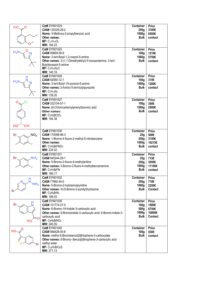| $HO_{\sim}$           | Cat# SYN01024                                                   | <b>Container</b> | <b>Price</b>   |
|-----------------------|-----------------------------------------------------------------|------------------|----------------|
|                       | CAS# 135329-29-2                                                | 250g             | 3100€          |
|                       | Name: 3-Methoxy-2-propylbenzoic acid                            | 1000g            | 6500€          |
|                       | Other names:                                                    | <b>Bulk</b>      | contact        |
|                       | $MF: C_{11}H_{14}O_3$                                           |                  |                |
|                       | MW: 194.23                                                      |                  |                |
|                       | Cat# SYN01025                                                   | <b>Container</b> | <b>Price</b>   |
| $H_2N$                | CAS# 59669-59-9                                                 | 100 <sub>g</sub> | 1210€          |
|                       | Name: 3-tert-Butyl-1,2-oxazol-5-amine                           | 1000g            | 5750€          |
|                       | Other names: 3-(1,1-Dimethylethyl)-5-isoxazolamine, 3-tert-     | <b>Bulk</b>      | contact        |
|                       | Butylisoxazol-5-amine                                           |                  |                |
|                       | $MF: C7H12N2O$                                                  |                  |                |
|                       | MW: 140.18                                                      |                  |                |
|                       | Cat# SYN01026                                                   | Container        | <b>Price</b>   |
|                       | CAS# 82560-12-1                                                 | 100 <sub>g</sub> | 315€           |
| $H_2N$                | Name: 3-tert-Butyl-1H-pyrazol-5-amine                           | 1000g            | 1280€          |
|                       | Other names: 3-Amino-5-tert-butylpyrazole                       | <b>Bulk</b>      | contact        |
|                       |                                                                 |                  |                |
|                       | $MF: C7H13N3$<br>MW: 139.20                                     |                  |                |
|                       |                                                                 |                  |                |
| O<br>CI               | Cat# SYN01027                                                   | <b>Container</b> | <b>Price</b>   |
|                       | CAS# 332154-57-1                                                | 100 <sub>g</sub> | 300€           |
|                       | Name: (4-Chlorocarbonylphenyl)boronic acid                      | 1000g            | 2500€          |
|                       | Other names:                                                    | <b>Bulk</b>      | contact        |
|                       | MF: C7H6BCIO3                                                   |                  |                |
|                       | MW: 184.38                                                      |                  |                |
| $HO5$ OH              |                                                                 |                  |                |
|                       | Cat# SYN01030                                                   | Container        | <b>Price</b>   |
| NO <sub>2</sub><br>Br | CAS# 170098-98-3                                                | 25g              | 500€           |
|                       | Name: 1-Bromo-4-fluoro-2-methyl-5-nitrobenzene                  | 250g             | 3150€          |
|                       | Other names:                                                    | 1000g            | 10215€         |
|                       | MF: C <sub>7</sub> H <sub>5</sub> BrFNO <sub>2</sub>            | <b>Bulk</b>      | contact        |
|                       | MW: 234.02                                                      |                  |                |
|                       | Cat# SYN01031                                                   | <b>Container</b> | <b>Price</b>   |
| NH <sub>2</sub><br>Br | CAS# 945244-29-1                                                | 25g              | 715€           |
|                       | Name: 5-Bromo-2-fluoro-4-methylaniline                          | 250g             | 3950€          |
|                       | Other names: 5-Bromo-2-fluoro-4-methylbenzenamine               | 1000g            | 11100€         |
|                       | MF: C <sub>7</sub> H <sub>7</sub> BrFN                          | <b>Bulk</b>      | contact        |
|                       | MW: 166.17                                                      |                  |                |
|                       | Cat# SYN01032                                                   | <b>Container</b> | <b>Price</b>   |
| H<br>N                | CAS# 77992-44-0                                                 | 250g             | 710€           |
| NH <sub>2</sub>       | Name: 5-Bromo-2-hydrazinylpyridine                              | 1000g            | 2250€          |
|                       | Other names: N-(5-Bromo-2-pyridyl)hydrazine                     | <b>Bulk</b>      | Contact        |
|                       | MF: C <sub>5</sub> H <sub>6</sub> BrN <sub>3</sub>              |                  |                |
|                       | MW: 188.03                                                      |                  |                |
|                       | Cat# SYN01036                                                   | <b>Container</b> | <b>Price</b>   |
| <b>Br</b>             | CAS# 101774-27-0                                                | 100 <sub>g</sub> | 1900€          |
|                       | Name: 6-Bromo-1H-Indole-3-carboxylic acid                       | 500g             | 6750€          |
|                       |                                                                 | 1000g            | 10800€         |
|                       | Other names: 6-Bromoindole-3-carboxylic acid; 6-Bromo-indole-3- | <b>Bulk</b>      | <b>Contact</b> |
|                       | carboxylic acid                                                 |                  |                |
| HО                    | MF: C9H6BrNO <sub>2</sub><br>MW: 240.05                         |                  |                |
|                       | Cat# SYN01040                                                   | <b>Container</b> | <b>Price</b>   |
| HO                    | CAS# 946428-00-8                                                | 100 <sub>g</sub> | 8300           |
|                       |                                                                 |                  |                |
|                       | Name: methyl 6-Bromobenzo[b]thiophene-3-carboxylate             | <b>Bulk</b>      | contact        |
|                       | Other names: 6-Bromo- Benzo[b]thiophene-3-carboxylic acid       |                  |                |
| Br                    | methyl ester                                                    |                  |                |
|                       | $MF: C_{10}H7BrO2S$                                             |                  |                |
|                       | MW: 271.13                                                      |                  |                |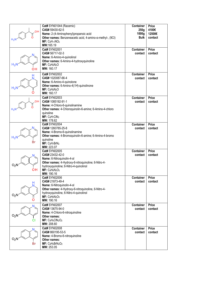|                    | Cat# SYN01044 (Racemic)                                           | <b>Container</b> | <b>Price</b> |
|--------------------|-------------------------------------------------------------------|------------------|--------------|
|                    | CAS# 59430-62-5                                                   | 250 <sub>q</sub> | 4100€        |
| <b>OH</b>          | Name: 2-(4-Aminophenyl)propanoic acid                             | 1000g            | 12500€       |
|                    |                                                                   |                  |              |
| $H_2$ <sub>N</sub> | Other names: Benzeneacetic acid, 4-amino-a-methyl-, (9CI)         | <b>Bulk</b>      | contact      |
|                    | $MF: C9H11NO2$                                                    |                  |              |
|                    | MW:165.19                                                         |                  |              |
|                    | Cat# SYN02001                                                     | <b>Container</b> | <b>Price</b> |
|                    | CAS# 56717-02-3                                                   | contact          | contact      |
|                    | Name: 6-Amino-4-quinolinol                                        |                  |              |
|                    |                                                                   |                  |              |
| $H_2N$             | Other names: 6-Amino-4-hydroxyquinoline                           |                  |              |
|                    | $MF: C9H8N2O$                                                     |                  |              |
| OH                 | MW: 160.17                                                        |                  |              |
|                    | Cat# SYN02002                                                     | <b>Container</b> | <b>Price</b> |
| Н                  | CAS# 1020087-66-4                                                 |                  | contact      |
|                    |                                                                   | contact          |              |
|                    | Name: 6-Amino-4-quinolone                                         |                  |              |
| $H_2$              | Other names: 6-Amino-4(1H)-quinolinone                            |                  |              |
|                    | MF: C9H8N2O                                                       |                  |              |
| O                  | MW: 160.17                                                        |                  |              |
|                    | Cat# SYN02003                                                     | <b>Container</b> | <b>Price</b> |
| OН                 | CAS# 1085192-91-1                                                 | contact          | contact      |
|                    | Name: 4-Chloro-6-quinolinamine                                    |                  |              |
|                    |                                                                   |                  |              |
| $H_2$ <sub>N</sub> | Other names: 4-Chloroquinolin-6-amine; 6-Amino-4-chloro           |                  |              |
|                    | quinoline                                                         |                  |              |
|                    | $MF: C9H7ClN2$                                                    |                  |              |
|                    | MW: 178.62                                                        |                  |              |
|                    | Cat# SYN02004                                                     | <b>Container</b> | <b>Price</b> |
|                    | CAS# 1260785-25-8                                                 | contact          | contact      |
|                    | Name: 4-Bromo-6-quinolinamine                                     |                  |              |
|                    | Other names: 4-Bromoquinolin-6-amine; 6-Amino-4-bromo             |                  |              |
| $H_2$ <sup>N</sup> | quinoline                                                         |                  |              |
| Br                 |                                                                   |                  |              |
|                    | MF: C <sub>9</sub> H <sub>7</sub> BrN <sub>2</sub>                |                  |              |
|                    | MW: 223.07                                                        |                  |              |
|                    | Cat# SYN02005                                                     | <b>Container</b> | <b>Price</b> |
|                    | CAS# 23432-42-0                                                   | contact          | contact      |
|                    | Name: 6-Nitroquinolin-4-ol                                        |                  |              |
|                    | Other names: 4-Hydroxy-6-nitroquinoline; 6-Nitro-4-               |                  |              |
| $O_2N$             | hydroxyquinoline; 6-Nitro-4-quinolinol                            |                  |              |
| он                 | $MF: C_9H_6N_2O_3$                                                |                  |              |
|                    | MW: 190.16                                                        |                  |              |
|                    | Cat# SYN02006                                                     | <b>Container</b> | <b>Price</b> |
|                    | CAS# 21873-49-4                                                   | contact          | contact      |
| н                  |                                                                   |                  |              |
|                    | Name: 6-Nitroquinolin-4-ol                                        |                  |              |
|                    | Other names: 4-Hydroxy-6-nitroquinoline, 6-Nitro-4-               |                  |              |
| $O_2$              | hydroxyquinoline, 6-Nitro-4-quinolinol                            |                  |              |
|                    | $MF: C_9H_6N_2O_3$                                                |                  |              |
| 0                  | MW: 190.16                                                        |                  |              |
|                    | Cat# SYN02007                                                     | <b>Container</b> | <b>Price</b> |
|                    | CAS# 13675-94-0                                                   | contact          | contact      |
|                    | Name: 4-Chloro-6-nitroquinoline                                   |                  |              |
| $O_2N$             | Other names:                                                      |                  |              |
|                    |                                                                   |                  |              |
|                    | $MF: C_9H_5CIN_2O_2$                                              |                  |              |
|                    | MW: 208.60                                                        |                  |              |
|                    | Cat# SYN02008                                                     | <b>Container</b> | <b>Price</b> |
|                    | CAS# 860195-53-5                                                  | contact          | contact      |
|                    | Name: 4-Bromo-6-nitroquinoline                                    |                  |              |
| O <sub>2</sub> I   | Other names:                                                      |                  |              |
| Br                 | MF: C <sub>9</sub> H <sub>5</sub> BrN <sub>2</sub> O <sub>2</sub> |                  |              |
|                    |                                                                   |                  |              |
|                    | MW: 253.05                                                        |                  |              |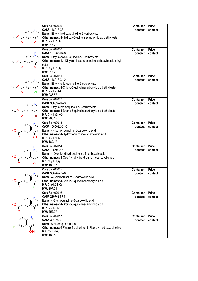|         | Cat# SYN02009<br>CAS# 148018-33-1                                                                                                       | <b>Container</b><br>contact | <b>Price</b><br>contact |
|---------|-----------------------------------------------------------------------------------------------------------------------------------------|-----------------------------|-------------------------|
| OΗ      | Name: Ethyl 4-hydroxyquinoline-6-carboxylate<br>Other names: 4-Hydroxy-6-quinolinecarboxylic acid ethyl ester<br>$MF: C_{12}H_{11}NO_3$ |                             |                         |
|         | MW: 217.22                                                                                                                              |                             |                         |
|         | Cat# SYN02010<br>CAS# 127286-04-8                                                                                                       | <b>Container</b><br>contact | <b>Price</b><br>contact |
|         | Name: Ethyl 4-oxo-1H-quinoline-6-carboxylate                                                                                            |                             |                         |
|         | Other names: 1,4-Dihydro-4-oxo-6-quinolinecarboxylic acid ethyl                                                                         |                             |                         |
|         | ester                                                                                                                                   |                             |                         |
|         | $MF: C_{12}H_{11}NO_3$<br>MW: 217.22                                                                                                    |                             |                         |
|         | Cat# SYN02011                                                                                                                           | <b>Container</b>            | <b>Price</b>            |
|         | CAS# 148018-34-2                                                                                                                        | contact                     | contact                 |
|         | Name: Ethyl 4-chloroquinoline-6-carboxylate                                                                                             |                             |                         |
|         | Other names: 4-Chloro-6-quinolinecarboxylic acid ethyl ester                                                                            |                             |                         |
| СI      | MF: C <sub>12</sub> H <sub>10</sub> CINO <sub>2</sub><br>MW: 235.67                                                                     |                             |                         |
|         | Cat# SYN02012                                                                                                                           | <b>Container</b>            | Price                   |
|         | CAS# 958332-97-3                                                                                                                        | contact                     | contact                 |
|         | Name: Ethyl 4-bromoquinoline-6-carboxylate                                                                                              |                             |                         |
|         | Other names: 4-Bromo-6-quinolinecarboxylic acid ethyl ester<br>$MF: C_{12}H_{10}BrNO2$                                                  |                             |                         |
| Br<br>O | MW: 280.12                                                                                                                              |                             |                         |
|         | Cat# SYN02013                                                                                                                           | <b>Container</b>            | <b>Price</b>            |
|         | CAS# 1065092-81-0                                                                                                                       | contact                     | contact                 |
|         | Name: 4-Hydroxyquinoline-6-carboxylic acid                                                                                              |                             |                         |
| он      | Other names: 4-Hydroxy-quinoline-6-carboxylic acid<br>$MF: C_{10}H7NO3$                                                                 |                             |                         |
|         | MW: 189.17                                                                                                                              |                             |                         |
| H       | Cat# SYN02014                                                                                                                           | <b>Container</b>            | <b>Price</b>            |
|         | CAS# 1065092-81-0                                                                                                                       | contact                     | contact                 |
| нс      | Name: 4-Oxo-1,4-dihydroquinoline-6-carboxylic acid<br>Other names: 4-Oxo-1,4-dihydro-6-quinolinecarboxylic acid                         |                             |                         |
|         | $MF: C_{10}H_7NO_3$                                                                                                                     |                             |                         |
|         | MW: 189.17                                                                                                                              |                             |                         |
|         | Cat# SYN02015                                                                                                                           | <b>Container</b>            | Price                   |
|         | CAS# 386207-77-8<br>Name: 4-Chloroquinoline-6-carboxylic acid                                                                           | contact                     | contact                 |
| HO      | Other names: 4-Chloro-6-quinolinecarboxylic acid                                                                                        |                             |                         |
|         | $MF: C_{10}H_6CINO_2$                                                                                                                   |                             |                         |
|         | MW: 207.61                                                                                                                              |                             |                         |
|         | Cat# SYN02016                                                                                                                           | <b>Container</b>            | <b>Price</b>            |
|         | CAS# 219763-87-8<br>Name: 4-Bromoquinoline-6-carboxylic acid                                                                            | contact                     | contact                 |
| HС      | Other names: 4-Bromo-6-quinolinecarboxylic acid                                                                                         |                             |                         |
|         | MF: C <sub>10</sub> H <sub>6</sub> BrNO <sub>2</sub>                                                                                    |                             |                         |
| Br      | MW: 252.07                                                                                                                              |                             |                         |
|         | Cat# SYN02017<br>CAS# 391-78-6                                                                                                          | <b>Container</b><br>contact | <b>Price</b><br>contact |
|         | Name: 6-Fluoroquinolin-4-ol                                                                                                             |                             |                         |
|         | Other names: 6-Fluoro-4-quinolinol; 6-Fluoro-4-hydroxyquinoline                                                                         |                             |                         |
| OH      | MF: C <sub>9</sub> H <sub>6</sub> FNO                                                                                                   |                             |                         |
|         | MW: 163.15                                                                                                                              |                             |                         |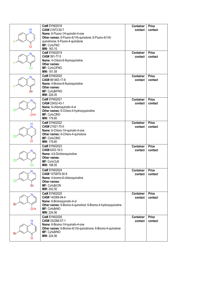|    | Cat# SYN02018                                                 | <b>Container</b> | <b>Price</b> |
|----|---------------------------------------------------------------|------------------|--------------|
|    | CAS# 21873-50-7                                               | contact          | contact      |
|    | Name: 6-Fluoro-1H-quinolin-4-one                              |                  |              |
|    | Other names: 6-Fluoro-4(1H)-quinolone; 6-Fluoro-4(1H)-        |                  |              |
|    | quinolinone; 6-Fluoro-4-quinolone                             |                  |              |
|    | MF: C <sub>9</sub> H <sub>6</sub> FNO                         |                  |              |
|    | MW: 163.15                                                    |                  |              |
|    | Cat# SYN02019                                                 | <b>Container</b> | <b>Price</b> |
|    | CAS# 391-77-5                                                 | contact          | contact      |
|    | Name: 4-Chloro-6-fluoroquinoline                              |                  |              |
|    | Other names:                                                  |                  |              |
|    | MF: C <sub>9</sub> H <sub>5</sub> CIFNO                       |                  |              |
|    | MW: 181.59                                                    |                  |              |
|    | Cat# SYN02020                                                 | <b>Container</b> | <b>Price</b> |
|    | CAS# 661463-17-8                                              | contact          | contact      |
|    | Name: 4-Bromo-6-fluoroquinoline                               |                  |              |
|    | Other names:                                                  |                  |              |
| Br | MF: C9H5BrFNO                                                 |                  |              |
|    | MW: 226.05                                                    |                  |              |
|    | Cat# SYN02021                                                 | <b>Container</b> | <b>Price</b> |
|    | CAS# 23432-43-1                                               | contact          | contact      |
|    | Name: 6-chloroquinolin-4-ol                                   |                  |              |
|    | Other names: 6-Chloro-4-hydroxyquinoline                      |                  |              |
| OH | MF: C <sub>9</sub> H <sub>6</sub> CINO                        |                  |              |
|    | MW: 179.60                                                    |                  |              |
| н  | Cat# SYN02022                                                 | <b>Container</b> | <b>Price</b> |
|    | CAS# 21921-70-0                                               | contact          | contact      |
|    | Name: 6-Chloro-1H-quinolin-4-one                              |                  |              |
|    | Other names: 6-Chloro-4-quinolone                             |                  |              |
|    | MF: C <sub>9</sub> H <sub>6</sub> CINO                        |                  |              |
|    | MW: 179.60                                                    |                  |              |
|    | Cat# SYN02023                                                 | <b>Container</b> | <b>Price</b> |
|    | CAS#4203-18-3                                                 | contact          | contact      |
|    | Name: 4,6-Dichloroquinoline                                   |                  |              |
|    | Other names:                                                  |                  |              |
|    | MF: C <sub>9</sub> H <sub>5</sub> Cl <sub>2</sub> N           |                  |              |
|    | MW: 198.05                                                    |                  |              |
|    | Cat# SYN02024                                                 | <b>Container</b> | Price        |
|    | CAS# 1070879-30-9                                             | contact          | contact      |
|    | Name: 4-bromo-6-chloroquinoline                               |                  |              |
|    | Other names:                                                  |                  |              |
| Br | MF: C <sub>9</sub> H <sub>5</sub> BrCIN                       |                  |              |
|    | MW: 242.50                                                    |                  |              |
|    | Cat# SYN02025                                                 | Container        | <b>Price</b> |
|    | CAS# 145369-94-4                                              | contact          | contact      |
|    | Name: 6-Bromoquinolin-4-ol                                    |                  |              |
| в  | Other names: 6-Bromo-4-quinolinol; 6-Bromo-4-hydroxyquinoline |                  |              |
| OH | MF: C <sub>9</sub> H <sub>6</sub> BrNO                        |                  |              |
|    | MW: 224.06                                                    |                  |              |
|    | Cat# SYN02026                                                 | <b>Container</b> | <b>Price</b> |
| H  | CAS# 332366-57-1                                              | contact          | contact      |
|    | Name: 6-Bromo-1H-quinolin-4-one                               |                  |              |
|    | Other names: 6-Bromo-4(1H)-quinolinone; 6-Bromo-4-quinolone   |                  |              |
|    | MF: C <sub>9</sub> H <sub>6</sub> BrNO                        |                  |              |
|    | MW: 224.06                                                    |                  |              |
|    |                                                               |                  |              |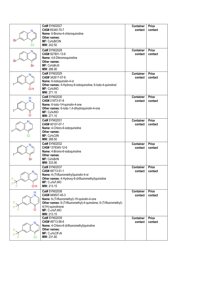| в           | Cat# SYN02027<br>CAS# 65340-70-7<br>Name: 6-Bromo-4-chloroquinoline<br>Other names:<br>MF: C <sub>9</sub> H <sub>5</sub> BrCIN<br>MW: 242.50                                                                                                      | <b>Container</b><br>contact | <b>Price</b><br>contact |
|-------------|---------------------------------------------------------------------------------------------------------------------------------------------------------------------------------------------------------------------------------------------------|-----------------------------|-------------------------|
| Bı<br>Br    | Cat# SYN02028<br>CAS# 927801-13-6<br>Name: 4,6-Dibromoquinoline<br>Other names:<br>$MF: C9H5Br2N$<br>MW: 286.90                                                                                                                                   | <b>Container</b><br>contact | <b>Price</b><br>contact |
| OH          | Cat# SYN02029<br>CAS# 342617-07-6<br>Name: 6-lodoquinolin-4-ol<br>Other names: 4-Hydroxy-6-iodoquinoline; 6-lodo-4-quinolinol<br>MF: C <sub>9</sub> H <sub>6</sub> INO<br>MW: 271.10                                                              | <b>Container</b><br>contact | <b>Price</b><br>contact |
|             | Cat# SYN02030<br>CAS# 21873-51-8<br>Name: 6-lodo-1H-quinolin-4-one<br>Other names: 6-lodo-1,4-dihydroquinolin-4-one<br>MF: C9H6INO<br>MW: 271.10                                                                                                  | <b>Container</b><br>contact | Price<br>contact        |
|             | Cat# SYN02031<br>CAS# 40107-07-1<br>Name: 4-Chloro-6-iodoquinoline<br>Other names:<br>MF: C9H <sub>5</sub> CIIN<br>MW: 289.50                                                                                                                     | <b>Container</b><br>contact | <b>Price</b><br>contact |
| Br          | Cat# SYN02032<br>CAS# 1379345-12-6<br>Name: 4-Bromo-6-iodoquinoline<br>Other names:<br>MF: C <sub>9</sub> H <sub>5</sub> BrIN<br>MW: 333.90                                                                                                       | <b>Container</b><br>contact | <b>Price</b><br>contact |
| N.<br>OН    | Cat# SYN02037<br>CAS# 49713-51-1<br>Name: 6-(Trifluoromethyl)quinolin-4-ol<br>Other names: 4-Hydroxy-6-(trifluoromethyl)quinoline<br>MF: C <sub>10</sub> H <sub>6</sub> F <sub>3</sub> NO<br>MW: 213.15                                           | <b>Container</b><br>contact | <b>Price</b><br>contact |
| H<br>N<br>Ő | Cat# SYN02038<br>CAS# 949507-45-3<br>Name: 6-(Trifluoromethyl)-1H-quinolin-4-one<br>Other names: 6-(Trifluoromethyl)-4-quinolone; 6-(Trifluoromethyl)-<br>4(1H)-quinolinone<br>MF: C <sub>10</sub> H <sub>6</sub> F <sub>3</sub> NO<br>MW: 213.15 | <b>Container</b><br>contact | <b>Price</b><br>contact |
| N.          | Cat# SYN02039<br>CAS# 49713-56-6<br>Name: 4-Chloro-6-(trifluoromethyl)quinoline<br>Other names:<br>MF: C <sub>10</sub> H <sub>5</sub> CIF <sub>3</sub> N<br>MW: 231.60                                                                            | <b>Container</b><br>contact | <b>Price</b><br>contact |